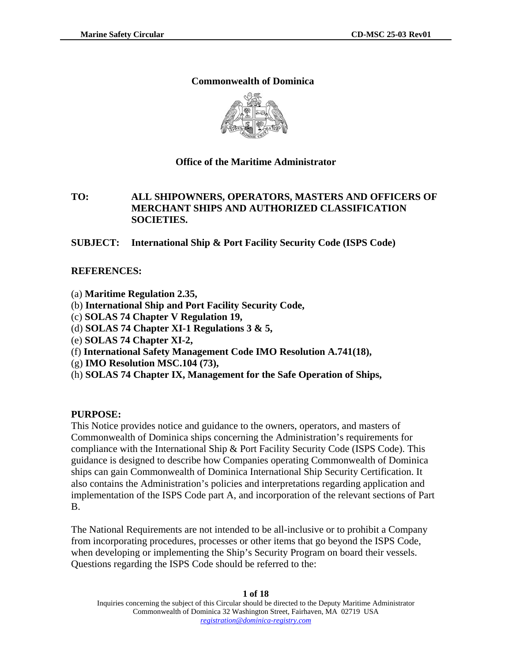### **Commonwealth of Dominica**



### **Office of the Maritime Administrator**

## **TO: ALL SHIPOWNERS, OPERATORS, MASTERS AND OFFICERS OF MERCHANT SHIPS AND AUTHORIZED CLASSIFICATION SOCIETIES.**

**SUBJECT: International Ship & Port Facility Security Code (ISPS Code)** 

### **REFERENCES:**

- (a) **Maritime Regulation 2.35,**
- (b) **International Ship and Port Facility Security Code,**
- (c) **SOLAS 74 Chapter V Regulation 19,**
- (d) **SOLAS 74 Chapter XI-1 Regulations 3 & 5,**
- (e) **SOLAS 74 Chapter XI-2,**
- (f) **International Safety Management Code IMO Resolution A.741(18),**
- (g) **IMO Resolution MSC.104 (73),**
- (h) **SOLAS 74 Chapter IX, Management for the Safe Operation of Ships,**

#### **PURPOSE:**

This Notice provides notice and guidance to the owners, operators, and masters of Commonwealth of Dominica ships concerning the Administration's requirements for compliance with the International Ship & Port Facility Security Code (ISPS Code). This guidance is designed to describe how Companies operating Commonwealth of Dominica ships can gain Commonwealth of Dominica International Ship Security Certification. It also contains the Administration's policies and interpretations regarding application and implementation of the ISPS Code part A, and incorporation of the relevant sections of Part B.

The National Requirements are not intended to be all-inclusive or to prohibit a Company from incorporating procedures, processes or other items that go beyond the ISPS Code, when developing or implementing the Ship's Security Program on board their vessels. Questions regarding the ISPS Code should be referred to the: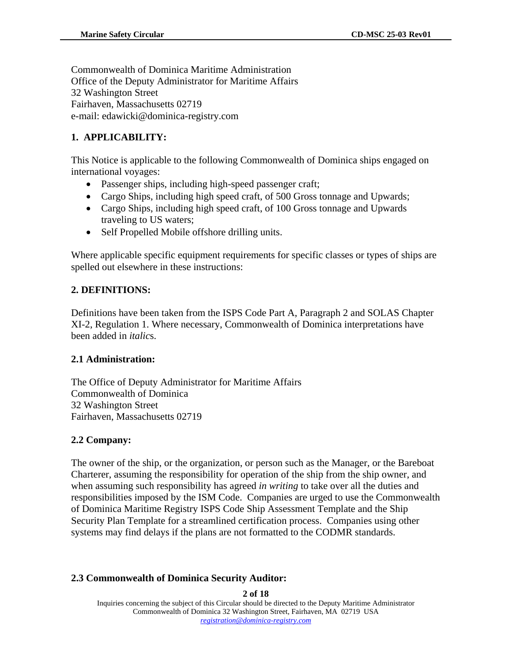Commonwealth of Dominica Maritime Administration Office of the Deputy Administrator for Maritime Affairs 32 Washington Street Fairhaven, Massachusetts 02719 e-mail: edawicki@dominica-registry.com

# **1. APPLICABILITY:**

This Notice is applicable to the following Commonwealth of Dominica ships engaged on international voyages:

- Passenger ships, including high-speed passenger craft;
- Cargo Ships, including high speed craft, of 500 Gross tonnage and Upwards;
- Cargo Ships, including high speed craft, of 100 Gross tonnage and Upwards traveling to US waters;
- Self Propelled Mobile offshore drilling units.

Where applicable specific equipment requirements for specific classes or types of ships are spelled out elsewhere in these instructions:

## **2. DEFINITIONS:**

Definitions have been taken from the ISPS Code Part A, Paragraph 2 and SOLAS Chapter XI-2, Regulation 1. Where necessary, Commonwealth of Dominica interpretations have been added in *italic*s.

## **2.1 Administration:**

The Office of Deputy Administrator for Maritime Affairs Commonwealth of Dominica 32 Washington Street Fairhaven, Massachusetts 02719

# **2.2 Company:**

The owner of the ship, or the organization, or person such as the Manager, or the Bareboat Charterer, assuming the responsibility for operation of the ship from the ship owner, and when assuming such responsibility has agreed *in writing* to take over all the duties and responsibilities imposed by the ISM Code. Companies are urged to use the Commonwealth of Dominica Maritime Registry ISPS Code Ship Assessment Template and the Ship Security Plan Template for a streamlined certification process. Companies using other systems may find delays if the plans are not formatted to the CODMR standards.

## **2.3 Commonwealth of Dominica Security Auditor:**

**2 of 18** 

Inquiries concerning the subject of this Circular should be directed to the Deputy Maritime Administrator Commonwealth of Dominica 32 Washington Street, Fairhaven, MA 02719 USA *registration@dominica-registry.com* Ì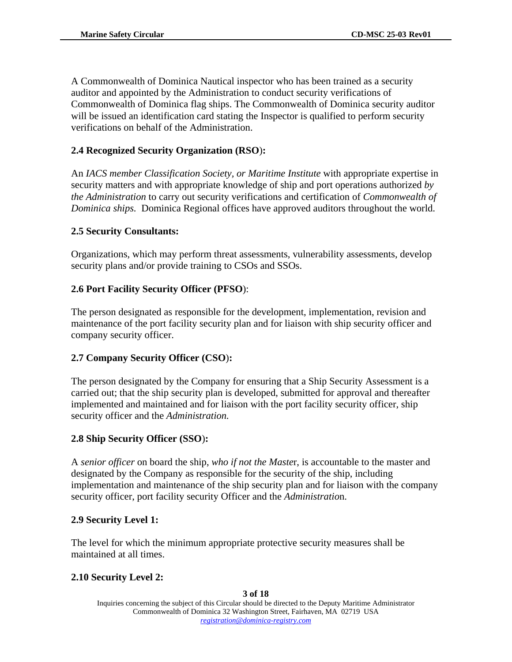A Commonwealth of Dominica Nautical inspector who has been trained as a security auditor and appointed by the Administration to conduct security verifications of Commonwealth of Dominica flag ships. The Commonwealth of Dominica security auditor will be issued an identification card stating the Inspector is qualified to perform security verifications on behalf of the Administration.

# **2.4 Recognized Security Organization (RSO**)**:**

An *IACS member Classification Society, or Maritime Institute* with appropriate expertise in security matters and with appropriate knowledge of ship and port operations authorized *by the Administration* to carry out security verifications and certification of *Commonwealth of Dominica ships.* Dominica Regional offices have approved auditors throughout the world.

## **2.5 Security Consultants:**

Organizations, which may perform threat assessments, vulnerability assessments, develop security plans and/or provide training to CSOs and SSOs.

## **2.6 Port Facility Security Officer (PFSO**):

The person designated as responsible for the development, implementation, revision and maintenance of the port facility security plan and for liaison with ship security officer and company security officer.

# **2.7 Company Security Officer (CSO**)**:**

The person designated by the Company for ensuring that a Ship Security Assessment is a carried out; that the ship security plan is developed, submitted for approval and thereafter implemented and maintained and for liaison with the port facility security officer, ship security officer and the *Administration.* 

# **2.8 Ship Security Officer (SSO**)**:**

A *senior officer* on board the ship, *who if not the Maste*r, is accountable to the master and designated by the Company as responsible for the security of the ship, including implementation and maintenance of the ship security plan and for liaison with the company security officer, port facility security Officer and the *Administratio*n.

# **2.9 Security Level 1:**

The level for which the minimum appropriate protective security measures shall be maintained at all times.

# **2.10 Security Level 2:**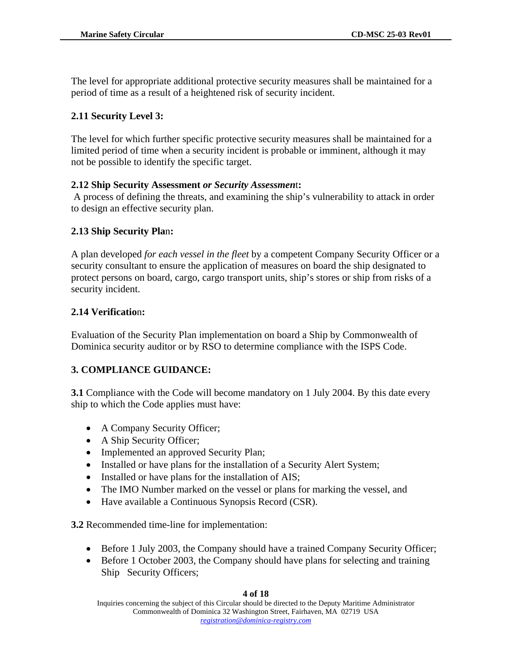The level for appropriate additional protective security measures shall be maintained for a period of time as a result of a heightened risk of security incident.

## **2.11 Security Level 3:**

The level for which further specific protective security measures shall be maintained for a limited period of time when a security incident is probable or imminent, although it may not be possible to identify the specific target.

## **2.12 Ship Security Assessment** *or Security Assessmen*t**:**

 A process of defining the threats, and examining the ship's vulnerability to attack in order to design an effective security plan.

## **2.13 Ship Security Pla**n**:**

A plan developed *for each vessel in the fleet* by a competent Company Security Officer or a security consultant to ensure the application of measures on board the ship designated to protect persons on board, cargo, cargo transport units, ship's stores or ship from risks of a security incident.

## **2.14 Verificatio**n**:**

Evaluation of the Security Plan implementation on board a Ship by Commonwealth of Dominica security auditor or by RSO to determine compliance with the ISPS Code.

# **3. COMPLIANCE GUIDANCE:**

**3.1** Compliance with the Code will become mandatory on 1 July 2004. By this date every ship to which the Code applies must have:

- A Company Security Officer;
- A Ship Security Officer;
- Implemented an approved Security Plan;
- Installed or have plans for the installation of a Security Alert System;
- Installed or have plans for the installation of AIS;
- The IMO Number marked on the vessel or plans for marking the vessel, and
- Have available a Continuous Synopsis Record (CSR).

**3.2** Recommended time-line for implementation:

- Before 1 July 2003, the Company should have a trained Company Security Officer;
- Before 1 October 2003, the Company should have plans for selecting and training Ship Security Officers;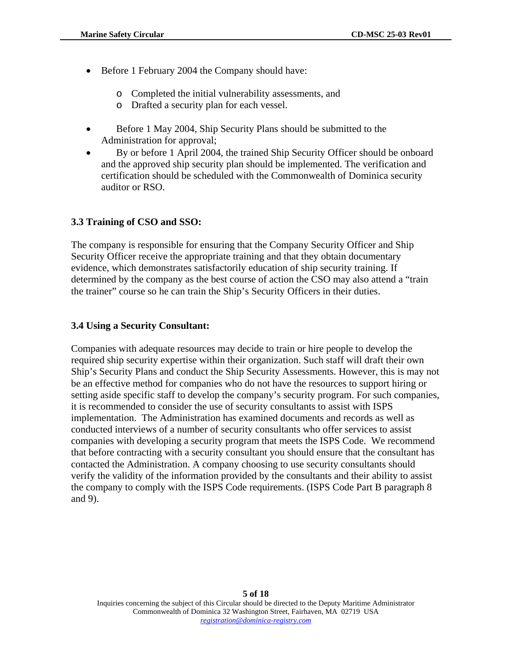- Before 1 February 2004 the Company should have:
	- o Completed the initial vulnerability assessments, and
	- o Drafted a security plan for each vessel.
- Before 1 May 2004, Ship Security Plans should be submitted to the Administration for approval;
- By or before 1 April 2004, the trained Ship Security Officer should be onboard and the approved ship security plan should be implemented. The verification and certification should be scheduled with the Commonwealth of Dominica security auditor or RSO.

## **3.3 Training of CSO and SSO:**

The company is responsible for ensuring that the Company Security Officer and Ship Security Officer receive the appropriate training and that they obtain documentary evidence, which demonstrates satisfactorily education of ship security training. If determined by the company as the best course of action the CSO may also attend a "train the trainer" course so he can train the Ship's Security Officers in their duties.

### **3.4 Using a Security Consultant:**

Companies with adequate resources may decide to train or hire people to develop the required ship security expertise within their organization. Such staff will draft their own Ship's Security Plans and conduct the Ship Security Assessments. However, this is may not be an effective method for companies who do not have the resources to support hiring or setting aside specific staff to develop the company's security program. For such companies, it is recommended to consider the use of security consultants to assist with ISPS implementation. The Administration has examined documents and records as well as conducted interviews of a number of security consultants who offer services to assist companies with developing a security program that meets the ISPS Code. We recommend that before contracting with a security consultant you should ensure that the consultant has contacted the Administration. A company choosing to use security consultants should verify the validity of the information provided by the consultants and their ability to assist the company to comply with the ISPS Code requirements. (ISPS Code Part B paragraph 8 and 9).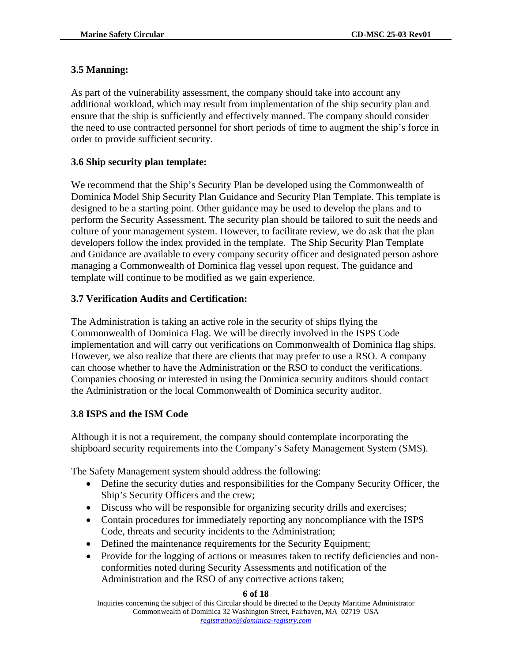### **3.5 Manning:**

As part of the vulnerability assessment, the company should take into account any additional workload, which may result from implementation of the ship security plan and ensure that the ship is sufficiently and effectively manned. The company should consider the need to use contracted personnel for short periods of time to augment the ship's force in order to provide sufficient security.

## **3.6 Ship security plan template:**

We recommend that the Ship's Security Plan be developed using the Commonwealth of Dominica Model Ship Security Plan Guidance and Security Plan Template. This template is designed to be a starting point. Other guidance may be used to develop the plans and to perform the Security Assessment. The security plan should be tailored to suit the needs and culture of your management system. However, to facilitate review, we do ask that the plan developers follow the index provided in the template. The Ship Security Plan Template and Guidance are available to every company security officer and designated person ashore managing a Commonwealth of Dominica flag vessel upon request. The guidance and template will continue to be modified as we gain experience.

### **3.7 Verification Audits and Certification:**

The Administration is taking an active role in the security of ships flying the Commonwealth of Dominica Flag. We will be directly involved in the ISPS Code implementation and will carry out verifications on Commonwealth of Dominica flag ships. However, we also realize that there are clients that may prefer to use a RSO. A company can choose whether to have the Administration or the RSO to conduct the verifications. Companies choosing or interested in using the Dominica security auditors should contact the Administration or the local Commonwealth of Dominica security auditor.

#### **3.8 ISPS and the ISM Code**

Although it is not a requirement, the company should contemplate incorporating the shipboard security requirements into the Company's Safety Management System (SMS).

The Safety Management system should address the following:

- Define the security duties and responsibilities for the Company Security Officer, the Ship's Security Officers and the crew;
- Discuss who will be responsible for organizing security drills and exercises;
- Contain procedures for immediately reporting any noncompliance with the ISPS Code, threats and security incidents to the Administration;
- Defined the maintenance requirements for the Security Equipment;
- Provide for the logging of actions or measures taken to rectify deficiencies and nonconformities noted during Security Assessments and notification of the Administration and the RSO of any corrective actions taken;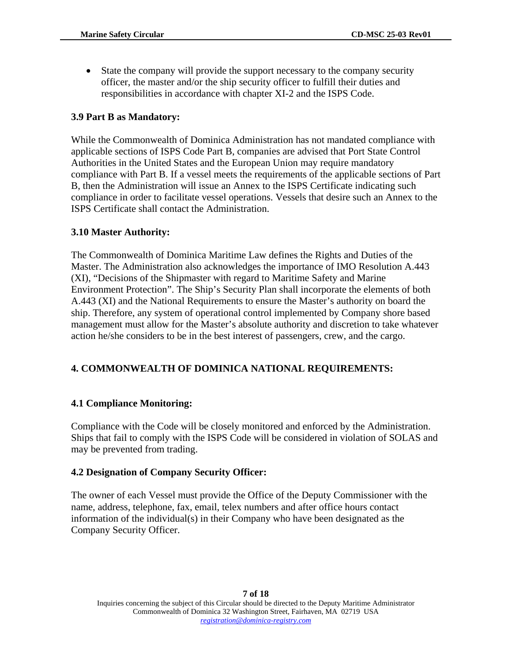• State the company will provide the support necessary to the company security officer, the master and/or the ship security officer to fulfill their duties and responsibilities in accordance with chapter XI-2 and the ISPS Code.

### **3.9 Part B as Mandatory:**

While the Commonwealth of Dominica Administration has not mandated compliance with applicable sections of ISPS Code Part B, companies are advised that Port State Control Authorities in the United States and the European Union may require mandatory compliance with Part B. If a vessel meets the requirements of the applicable sections of Part B, then the Administration will issue an Annex to the ISPS Certificate indicating such compliance in order to facilitate vessel operations. Vessels that desire such an Annex to the ISPS Certificate shall contact the Administration.

#### **3.10 Master Authority:**

The Commonwealth of Dominica Maritime Law defines the Rights and Duties of the Master. The Administration also acknowledges the importance of IMO Resolution A.443 (XI), "Decisions of the Shipmaster with regard to Maritime Safety and Marine Environment Protection". The Ship's Security Plan shall incorporate the elements of both A.443 (XI) and the National Requirements to ensure the Master's authority on board the ship. Therefore, any system of operational control implemented by Company shore based management must allow for the Master's absolute authority and discretion to take whatever action he/she considers to be in the best interest of passengers, crew, and the cargo.

## **4. COMMONWEALTH OF DOMINICA NATIONAL REQUIREMENTS:**

#### **4.1 Compliance Monitoring:**

Compliance with the Code will be closely monitored and enforced by the Administration. Ships that fail to comply with the ISPS Code will be considered in violation of SOLAS and may be prevented from trading.

#### **4.2 Designation of Company Security Officer:**

The owner of each Vessel must provide the Office of the Deputy Commissioner with the name, address, telephone, fax, email, telex numbers and after office hours contact information of the individual(s) in their Company who have been designated as the Company Security Officer.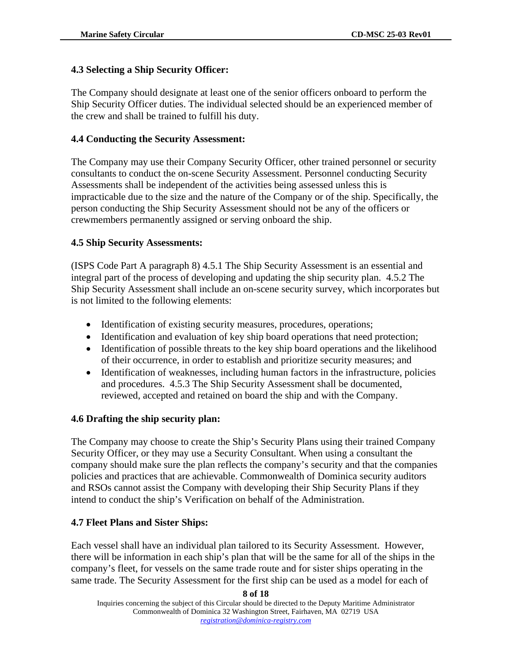### **4.3 Selecting a Ship Security Officer:**

The Company should designate at least one of the senior officers onboard to perform the Ship Security Officer duties. The individual selected should be an experienced member of the crew and shall be trained to fulfill his duty.

### **4.4 Conducting the Security Assessment:**

The Company may use their Company Security Officer, other trained personnel or security consultants to conduct the on-scene Security Assessment. Personnel conducting Security Assessments shall be independent of the activities being assessed unless this is impracticable due to the size and the nature of the Company or of the ship. Specifically, the person conducting the Ship Security Assessment should not be any of the officers or crewmembers permanently assigned or serving onboard the ship.

#### **4.5 Ship Security Assessments:**

(ISPS Code Part A paragraph 8) 4.5.1 The Ship Security Assessment is an essential and integral part of the process of developing and updating the ship security plan. 4.5.2 The Ship Security Assessment shall include an on-scene security survey, which incorporates but is not limited to the following elements:

- Identification of existing security measures, procedures, operations;
- Identification and evaluation of key ship board operations that need protection;
- Identification of possible threats to the key ship board operations and the likelihood of their occurrence, in order to establish and prioritize security measures; and
- Identification of weaknesses, including human factors in the infrastructure, policies and procedures. 4.5.3 The Ship Security Assessment shall be documented, reviewed, accepted and retained on board the ship and with the Company.

#### **4.6 Drafting the ship security plan:**

The Company may choose to create the Ship's Security Plans using their trained Company Security Officer, or they may use a Security Consultant. When using a consultant the company should make sure the plan reflects the company's security and that the companies policies and practices that are achievable. Commonwealth of Dominica security auditors and RSOs cannot assist the Company with developing their Ship Security Plans if they intend to conduct the ship's Verification on behalf of the Administration.

#### **4.7 Fleet Plans and Sister Ships:**

Each vessel shall have an individual plan tailored to its Security Assessment. However, there will be information in each ship's plan that will be the same for all of the ships in the company's fleet, for vessels on the same trade route and for sister ships operating in the same trade. The Security Assessment for the first ship can be used as a model for each of

**8 of 18**  Inquiries concerning the subject of this Circular should be directed to the Deputy Maritime Administrator Commonwealth of Dominica 32 Washington Street, Fairhaven, MA 02719 USA *registration@dominica-registry.com* Ì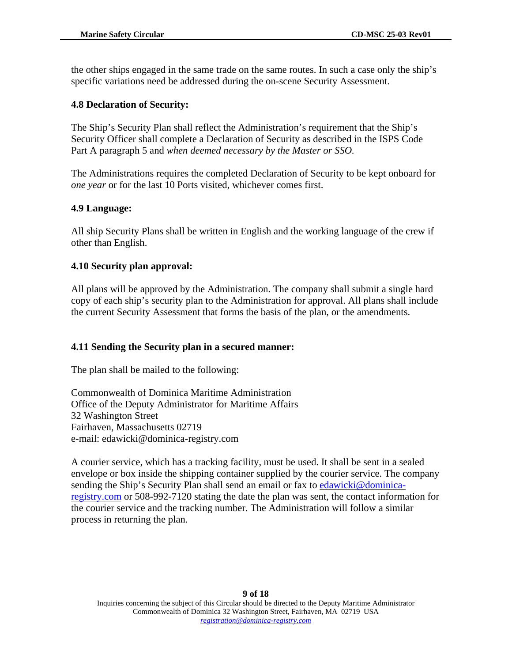the other ships engaged in the same trade on the same routes. In such a case only the ship's specific variations need be addressed during the on-scene Security Assessment.

### **4.8 Declaration of Security:**

The Ship's Security Plan shall reflect the Administration's requirement that the Ship's Security Officer shall complete a Declaration of Security as described in the ISPS Code Part A paragraph 5 and *when deemed necessary by the Master or SSO.* 

The Administrations requires the completed Declaration of Security to be kept onboard for *one year* or for the last 10 Ports visited, whichever comes first.

### **4.9 Language:**

All ship Security Plans shall be written in English and the working language of the crew if other than English.

### **4.10 Security plan approval:**

All plans will be approved by the Administration. The company shall submit a single hard copy of each ship's security plan to the Administration for approval. All plans shall include the current Security Assessment that forms the basis of the plan, or the amendments.

## **4.11 Sending the Security plan in a secured manner:**

The plan shall be mailed to the following:

Commonwealth of Dominica Maritime Administration Office of the Deputy Administrator for Maritime Affairs 32 Washington Street Fairhaven, Massachusetts 02719 e-mail: edawicki@dominica-registry.com

A courier service, which has a tracking facility, must be used. It shall be sent in a sealed envelope or box inside the shipping container supplied by the courier service. The company sending the Ship's Security Plan shall send an email or fax to [edawicki@dominica](mailto:edawicki@dominica-registry.com)[registry.com](mailto:edawicki@dominica-registry.com) or 508-992-7120 stating the date the plan was sent, the contact information for the courier service and the tracking number. The Administration will follow a similar process in returning the plan.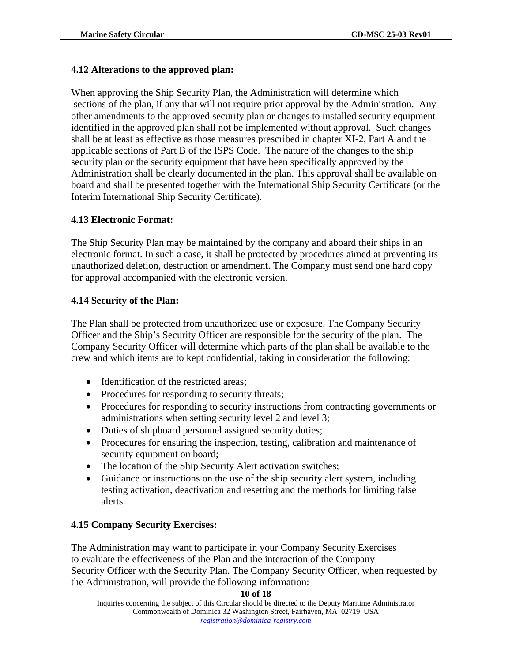### **4.12 Alterations to the approved plan:**

When approving the Ship Security Plan, the Administration will determine which sections of the plan, if any that will not require prior approval by the Administration. Any other amendments to the approved security plan or changes to installed security equipment identified in the approved plan shall not be implemented without approval. Such changes shall be at least as effective as those measures prescribed in chapter XI-2, Part A and the applicable sections of Part B of the ISPS Code. The nature of the changes to the ship security plan or the security equipment that have been specifically approved by the Administration shall be clearly documented in the plan. This approval shall be available on board and shall be presented together with the International Ship Security Certificate (or the Interim International Ship Security Certificate).

#### **4.13 Electronic Format:**

The Ship Security Plan may be maintained by the company and aboard their ships in an electronic format. In such a case, it shall be protected by procedures aimed at preventing its unauthorized deletion, destruction or amendment. The Company must send one hard copy for approval accompanied with the electronic version.

### **4.14 Security of the Plan:**

The Plan shall be protected from unauthorized use or exposure. The Company Security Officer and the Ship's Security Officer are responsible for the security of the plan. The Company Security Officer will determine which parts of the plan shall be available to the crew and which items are to kept confidential, taking in consideration the following:

- Identification of the restricted areas;
- Procedures for responding to security threats;
- Procedures for responding to security instructions from contracting governments or administrations when setting security level 2 and level 3;
- Duties of shipboard personnel assigned security duties;
- Procedures for ensuring the inspection, testing, calibration and maintenance of security equipment on board;
- The location of the Ship Security Alert activation switches;
- Guidance or instructions on the use of the ship security alert system, including testing activation, deactivation and resetting and the methods for limiting false alerts.

#### **4.15 Company Security Exercises:**

The Administration may want to participate in your Company Security Exercises to evaluate the effectiveness of the Plan and the interaction of the Company Security Officer with the Security Plan. The Company Security Officer, when requested by the Administration, will provide the following information: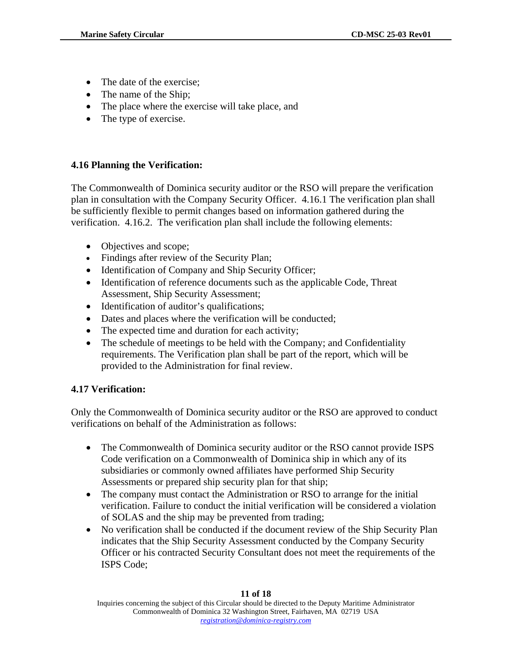- The date of the exercise:
- The name of the Ship;
- The place where the exercise will take place, and
- The type of exercise.

## **4.16 Planning the Verification:**

The Commonwealth of Dominica security auditor or the RSO will prepare the verification plan in consultation with the Company Security Officer. 4.16.1 The verification plan shall be sufficiently flexible to permit changes based on information gathered during the verification. 4.16.2. The verification plan shall include the following elements:

- Objectives and scope;
- Findings after review of the Security Plan;
- Identification of Company and Ship Security Officer;
- Identification of reference documents such as the applicable Code, Threat Assessment, Ship Security Assessment;
- Identification of auditor's qualifications;
- Dates and places where the verification will be conducted;
- The expected time and duration for each activity;
- The schedule of meetings to be held with the Company; and Confidentiality requirements. The Verification plan shall be part of the report, which will be provided to the Administration for final review.

# **4.17 Verification:**

Only the Commonwealth of Dominica security auditor or the RSO are approved to conduct verifications on behalf of the Administration as follows:

- The Commonwealth of Dominica security auditor or the RSO cannot provide ISPS Code verification on a Commonwealth of Dominica ship in which any of its subsidiaries or commonly owned affiliates have performed Ship Security Assessments or prepared ship security plan for that ship;
- The company must contact the Administration or RSO to arrange for the initial verification. Failure to conduct the initial verification will be considered a violation of SOLAS and the ship may be prevented from trading;
- No verification shall be conducted if the document review of the Ship Security Plan indicates that the Ship Security Assessment conducted by the Company Security Officer or his contracted Security Consultant does not meet the requirements of the ISPS Code;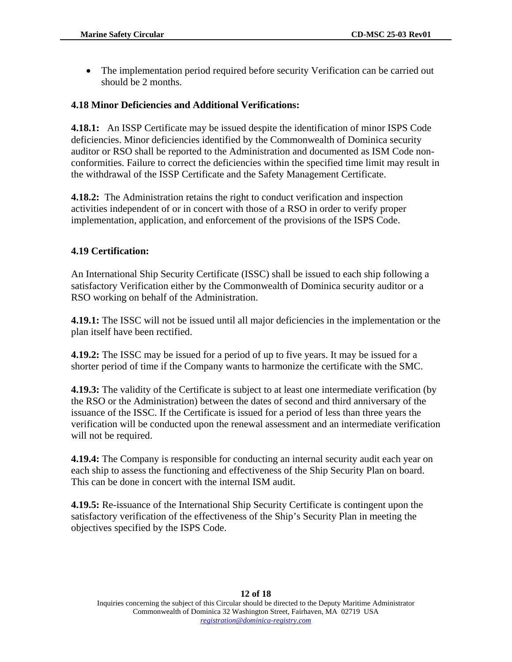• The implementation period required before security Verification can be carried out should be 2 months.

#### **4.18 Minor Deficiencies and Additional Verifications:**

**4.18.1:** An ISSP Certificate may be issued despite the identification of minor ISPS Code deficiencies. Minor deficiencies identified by the Commonwealth of Dominica security auditor or RSO shall be reported to the Administration and documented as ISM Code nonconformities. Failure to correct the deficiencies within the specified time limit may result in the withdrawal of the ISSP Certificate and the Safety Management Certificate.

**4.18.2:** The Administration retains the right to conduct verification and inspection activities independent of or in concert with those of a RSO in order to verify proper implementation, application, and enforcement of the provisions of the ISPS Code.

### **4.19 Certification:**

An International Ship Security Certificate (ISSC) shall be issued to each ship following a satisfactory Verification either by the Commonwealth of Dominica security auditor or a RSO working on behalf of the Administration.

**4.19.1:** The ISSC will not be issued until all major deficiencies in the implementation or the plan itself have been rectified.

**4.19.2:** The ISSC may be issued for a period of up to five years. It may be issued for a shorter period of time if the Company wants to harmonize the certificate with the SMC.

**4.19.3:** The validity of the Certificate is subject to at least one intermediate verification (by the RSO or the Administration) between the dates of second and third anniversary of the issuance of the ISSC. If the Certificate is issued for a period of less than three years the verification will be conducted upon the renewal assessment and an intermediate verification will not be required.

**4.19.4:** The Company is responsible for conducting an internal security audit each year on each ship to assess the functioning and effectiveness of the Ship Security Plan on board. This can be done in concert with the internal ISM audit.

**4.19.5:** Re-issuance of the International Ship Security Certificate is contingent upon the satisfactory verification of the effectiveness of the Ship's Security Plan in meeting the objectives specified by the ISPS Code.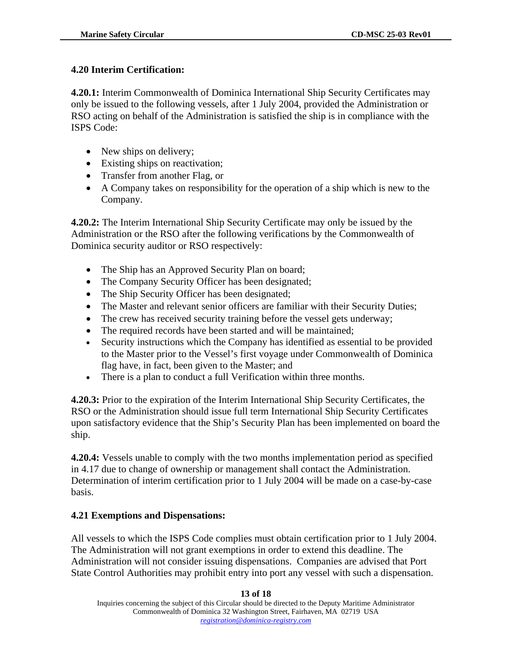## **4.20 Interim Certification:**

**4.20.1:** Interim Commonwealth of Dominica International Ship Security Certificates may only be issued to the following vessels, after 1 July 2004, provided the Administration or RSO acting on behalf of the Administration is satisfied the ship is in compliance with the ISPS Code:

- New ships on delivery;
- Existing ships on reactivation;
- Transfer from another Flag, or
- A Company takes on responsibility for the operation of a ship which is new to the Company.

**4.20.2:** The Interim International Ship Security Certificate may only be issued by the Administration or the RSO after the following verifications by the Commonwealth of Dominica security auditor or RSO respectively:

- The Ship has an Approved Security Plan on board;
- The Company Security Officer has been designated;
- The Ship Security Officer has been designated;
- The Master and relevant senior officers are familiar with their Security Duties;
- The crew has received security training before the vessel gets underway;
- The required records have been started and will be maintained;
- Security instructions which the Company has identified as essential to be provided to the Master prior to the Vessel's first voyage under Commonwealth of Dominica flag have, in fact, been given to the Master; and
- There is a plan to conduct a full Verification within three months.

**4.20.3:** Prior to the expiration of the Interim International Ship Security Certificates, the RSO or the Administration should issue full term International Ship Security Certificates upon satisfactory evidence that the Ship's Security Plan has been implemented on board the ship.

**4.20.4:** Vessels unable to comply with the two months implementation period as specified in 4.17 due to change of ownership or management shall contact the Administration. Determination of interim certification prior to 1 July 2004 will be made on a case-by-case basis.

## **4.21 Exemptions and Dispensations:**

All vessels to which the ISPS Code complies must obtain certification prior to 1 July 2004. The Administration will not grant exemptions in order to extend this deadline. The Administration will not consider issuing dispensations. Companies are advised that Port State Control Authorities may prohibit entry into port any vessel with such a dispensation.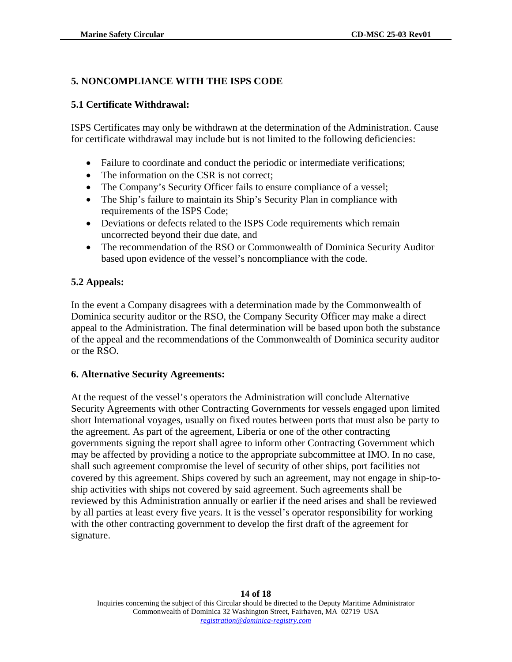### **5. NONCOMPLIANCE WITH THE ISPS CODE**

### **5.1 Certificate Withdrawal:**

ISPS Certificates may only be withdrawn at the determination of the Administration. Cause for certificate withdrawal may include but is not limited to the following deficiencies:

- Failure to coordinate and conduct the periodic or intermediate verifications;
- The information on the CSR is not correct;
- The Company's Security Officer fails to ensure compliance of a vessel;
- The Ship's failure to maintain its Ship's Security Plan in compliance with requirements of the ISPS Code;
- Deviations or defects related to the ISPS Code requirements which remain uncorrected beyond their due date, and
- The recommendation of the RSO or Commonwealth of Dominica Security Auditor based upon evidence of the vessel's noncompliance with the code.

### **5.2 Appeals:**

In the event a Company disagrees with a determination made by the Commonwealth of Dominica security auditor or the RSO, the Company Security Officer may make a direct appeal to the Administration. The final determination will be based upon both the substance of the appeal and the recommendations of the Commonwealth of Dominica security auditor or the RSO.

#### **6. Alternative Security Agreements:**

At the request of the vessel's operators the Administration will conclude Alternative Security Agreements with other Contracting Governments for vessels engaged upon limited short International voyages, usually on fixed routes between ports that must also be party to the agreement. As part of the agreement, Liberia or one of the other contracting governments signing the report shall agree to inform other Contracting Government which may be affected by providing a notice to the appropriate subcommittee at IMO. In no case, shall such agreement compromise the level of security of other ships, port facilities not covered by this agreement. Ships covered by such an agreement, may not engage in ship-toship activities with ships not covered by said agreement. Such agreements shall be reviewed by this Administration annually or earlier if the need arises and shall be reviewed by all parties at least every five years. It is the vessel's operator responsibility for working with the other contracting government to develop the first draft of the agreement for signature.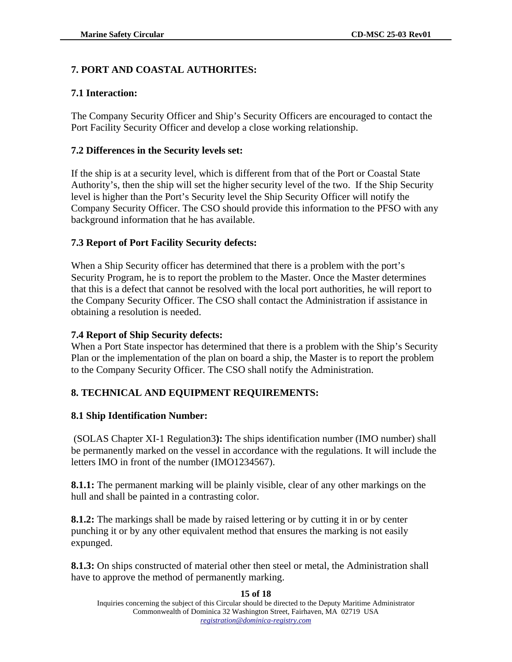## **7. PORT AND COASTAL AUTHORITES:**

### **7.1 Interaction:**

The Company Security Officer and Ship's Security Officers are encouraged to contact the Port Facility Security Officer and develop a close working relationship.

### **7.2 Differences in the Security levels set:**

If the ship is at a security level, which is different from that of the Port or Coastal State Authority's, then the ship will set the higher security level of the two. If the Ship Security level is higher than the Port's Security level the Ship Security Officer will notify the Company Security Officer. The CSO should provide this information to the PFSO with any background information that he has available.

## **7.3 Report of Port Facility Security defects:**

When a Ship Security officer has determined that there is a problem with the port's Security Program, he is to report the problem to the Master. Once the Master determines that this is a defect that cannot be resolved with the local port authorities, he will report to the Company Security Officer. The CSO shall contact the Administration if assistance in obtaining a resolution is needed.

### **7.4 Report of Ship Security defects:**

When a Port State inspector has determined that there is a problem with the Ship's Security Plan or the implementation of the plan on board a ship, the Master is to report the problem to the Company Security Officer. The CSO shall notify the Administration.

## **8. TECHNICAL AND EQUIPMENT REQUIREMENTS:**

#### **8.1 Ship Identification Number:**

(SOLAS Chapter XI-1 Regulation3**):** The ships identification number (IMO number) shall be permanently marked on the vessel in accordance with the regulations. It will include the letters IMO in front of the number (IMO1234567).

**8.1.1:** The permanent marking will be plainly visible, clear of any other markings on the hull and shall be painted in a contrasting color.

**8.1.2:** The markings shall be made by raised lettering or by cutting it in or by center punching it or by any other equivalent method that ensures the marking is not easily expunged.

**8.1.3:** On ships constructed of material other then steel or metal, the Administration shall have to approve the method of permanently marking.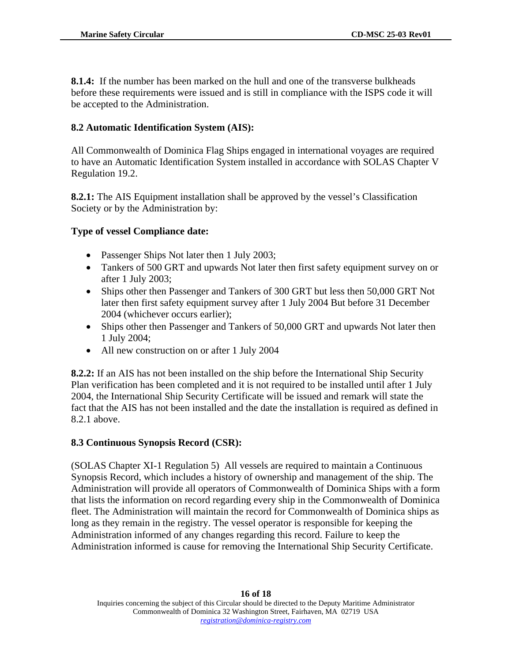**8.1.4:** If the number has been marked on the hull and one of the transverse bulkheads before these requirements were issued and is still in compliance with the ISPS code it will be accepted to the Administration.

# **8.2 Automatic Identification System (AIS):**

All Commonwealth of Dominica Flag Ships engaged in international voyages are required to have an Automatic Identification System installed in accordance with SOLAS Chapter V Regulation 19.2.

**8.2.1:** The AIS Equipment installation shall be approved by the vessel's Classification Society or by the Administration by:

## **Type of vessel Compliance date:**

- Passenger Ships Not later then 1 July 2003;
- Tankers of 500 GRT and upwards Not later then first safety equipment survey on or after 1 July 2003;
- Ships other then Passenger and Tankers of 300 GRT but less then 50,000 GRT Not later then first safety equipment survey after 1 July 2004 But before 31 December 2004 (whichever occurs earlier);
- Ships other then Passenger and Tankers of 50,000 GRT and upwards Not later then 1 July 2004;
- All new construction on or after 1 July 2004

**8.2.2:** If an AIS has not been installed on the ship before the International Ship Security Plan verification has been completed and it is not required to be installed until after 1 July 2004, the International Ship Security Certificate will be issued and remark will state the fact that the AIS has not been installed and the date the installation is required as defined in 8.2.1 above.

## **8.3 Continuous Synopsis Record (CSR):**

(SOLAS Chapter XI-1 Regulation 5) All vessels are required to maintain a Continuous Synopsis Record, which includes a history of ownership and management of the ship. The Administration will provide all operators of Commonwealth of Dominica Ships with a form that lists the information on record regarding every ship in the Commonwealth of Dominica fleet. The Administration will maintain the record for Commonwealth of Dominica ships as long as they remain in the registry. The vessel operator is responsible for keeping the Administration informed of any changes regarding this record. Failure to keep the Administration informed is cause for removing the International Ship Security Certificate.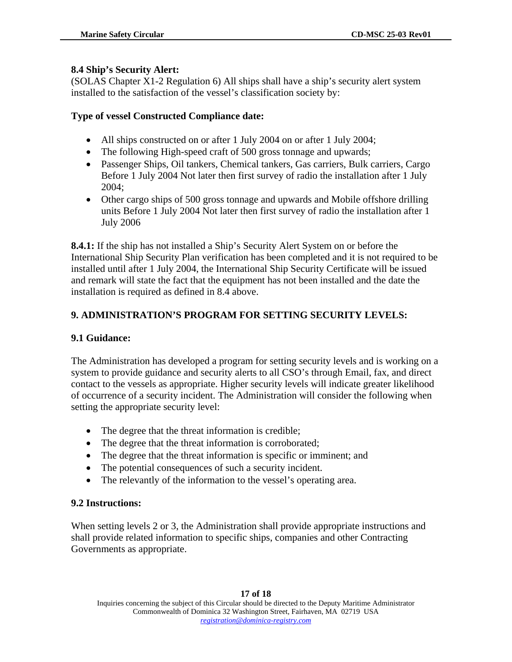#### **8.4 Ship's Security Alert:**

(SOLAS Chapter X1-2 Regulation 6) All ships shall have a ship's security alert system installed to the satisfaction of the vessel's classification society by:

#### **Type of vessel Constructed Compliance date:**

- All ships constructed on or after 1 July 2004 on or after 1 July 2004;
- The following High-speed craft of 500 gross tonnage and upwards;
- Passenger Ships, Oil tankers, Chemical tankers, Gas carriers, Bulk carriers, Cargo Before 1 July 2004 Not later then first survey of radio the installation after 1 July 2004;
- Other cargo ships of 500 gross tonnage and upwards and Mobile offshore drilling units Before 1 July 2004 Not later then first survey of radio the installation after 1 July 2006

**8.4.1:** If the ship has not installed a Ship's Security Alert System on or before the International Ship Security Plan verification has been completed and it is not required to be installed until after 1 July 2004, the International Ship Security Certificate will be issued and remark will state the fact that the equipment has not been installed and the date the installation is required as defined in 8.4 above.

## **9. ADMINISTRATION'S PROGRAM FOR SETTING SECURITY LEVELS:**

#### **9.1 Guidance:**

The Administration has developed a program for setting security levels and is working on a system to provide guidance and security alerts to all CSO's through Email, fax, and direct contact to the vessels as appropriate. Higher security levels will indicate greater likelihood of occurrence of a security incident. The Administration will consider the following when setting the appropriate security level:

- The degree that the threat information is credible;
- The degree that the threat information is corroborated;
- The degree that the threat information is specific or imminent; and
- The potential consequences of such a security incident.
- The relevantly of the information to the vessel's operating area.

#### **9.2 Instructions:**

When setting levels 2 or 3, the Administration shall provide appropriate instructions and shall provide related information to specific ships, companies and other Contracting Governments as appropriate.